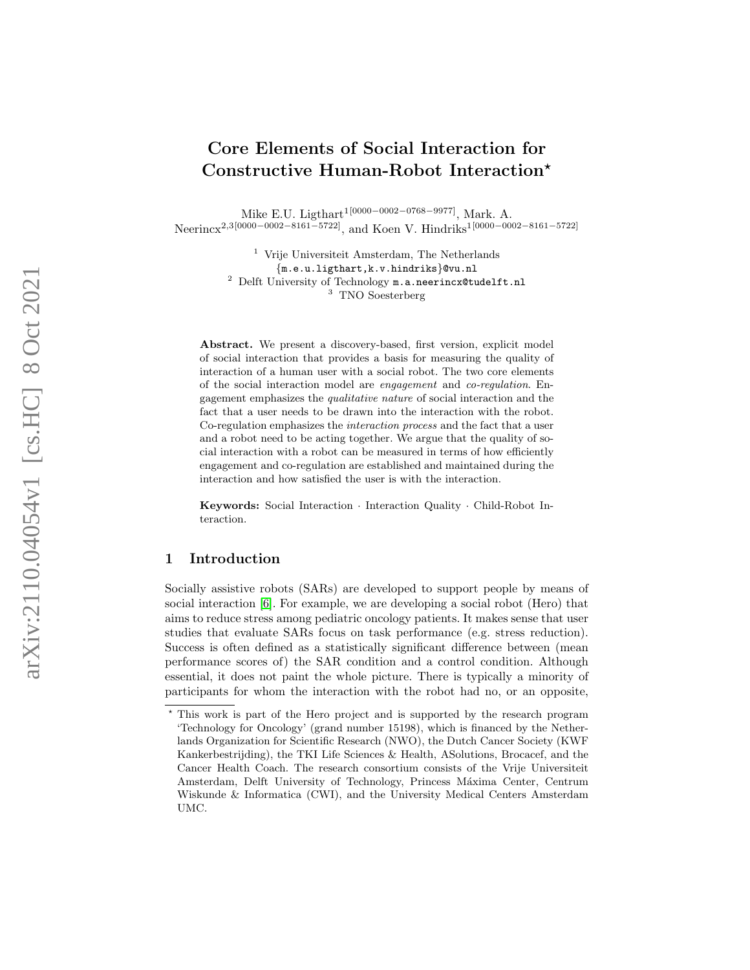# Core Elements of Social Interaction for Constructive Human-Robot Interaction ?

Mike E.U. Ligthart<sup>1[0000–0002–0768–9977]</sup>, Mark. A. Neerincx<sup>2,3[0000–0002–8161–5722]</sup>, and Koen V. Hindriks<sup>1[0000–0002–8161–5722]</sup>

> <sup>1</sup> Vrije Universiteit Amsterdam, The Netherlands {m.e.u.ligthart,k.v.hindriks}@vu.nl <sup>2</sup> Delft University of Technology m.a.neerincx@tudelft.nl <sup>3</sup> TNO Soesterberg

Abstract. We present a discovery-based, first version, explicit model of social interaction that provides a basis for measuring the quality of interaction of a human user with a social robot. The two core elements of the social interaction model are engagement and co-regulation. Engagement emphasizes the qualitative nature of social interaction and the fact that a user needs to be drawn into the interaction with the robot. Co-regulation emphasizes the interaction process and the fact that a user and a robot need to be acting together. We argue that the quality of social interaction with a robot can be measured in terms of how efficiently engagement and co-regulation are established and maintained during the interaction and how satisfied the user is with the interaction.

Keywords: Social Interaction · Interaction Quality · Child-Robot Interaction.

# 1 Introduction

Socially assistive robots (SARs) are developed to support people by means of social interaction [\[6\]](#page-7-0). For example, we are developing a social robot (Hero) that aims to reduce stress among pediatric oncology patients. It makes sense that user studies that evaluate SARs focus on task performance (e.g. stress reduction). Success is often defined as a statistically significant difference between (mean performance scores of) the SAR condition and a control condition. Although essential, it does not paint the whole picture. There is typically a minority of participants for whom the interaction with the robot had no, or an opposite,

<sup>?</sup> This work is part of the Hero project and is supported by the research program 'Technology for Oncology' (grand number 15198), which is financed by the Netherlands Organization for Scientific Research (NWO), the Dutch Cancer Society (KWF Kankerbestrijding), the TKI Life Sciences & Health, ASolutions, Brocacef, and the Cancer Health Coach. The research consortium consists of the Vrije Universiteit Amsterdam, Delft University of Technology, Princess Máxima Center, Centrum Wiskunde & Informatica (CWI), and the University Medical Centers Amsterdam UMC.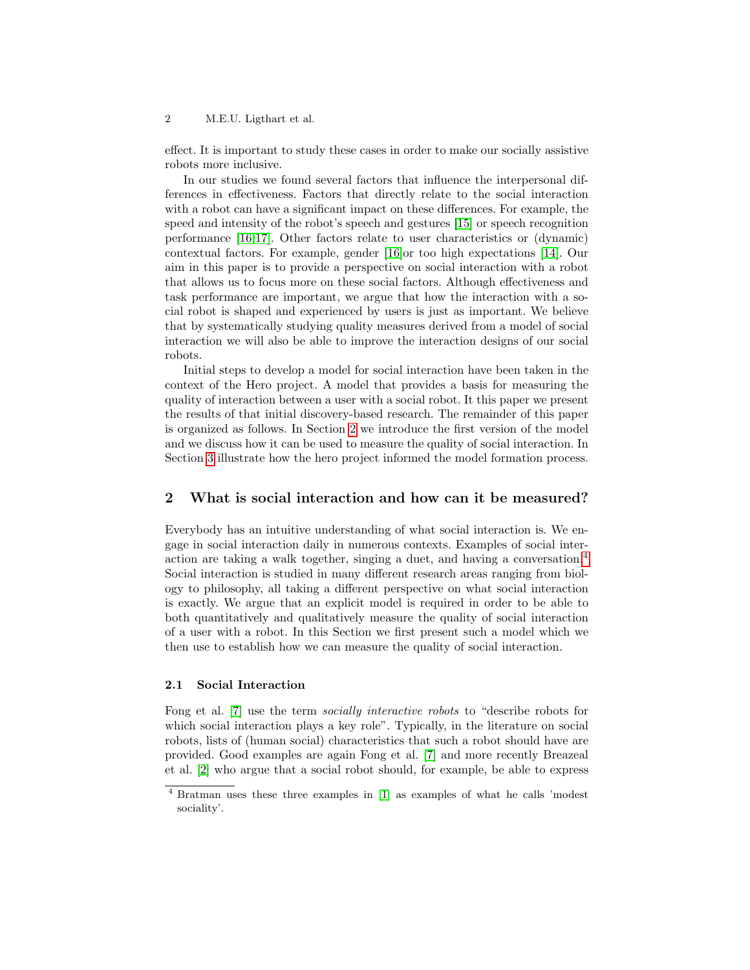effect. It is important to study these cases in order to make our socially assistive robots more inclusive.

In our studies we found several factors that influence the interpersonal differences in effectiveness. Factors that directly relate to the social interaction with a robot can have a significant impact on these differences. For example, the speed and intensity of the robot's speech and gestures [\[15\]](#page-7-1) or speech recognition performance [\[16](#page-7-2)[,17\]](#page-7-3). Other factors relate to user characteristics or (dynamic) contextual factors. For example, gender [\[16\]](#page-7-2)or too high expectations [\[14\]](#page-7-4). Our aim in this paper is to provide a perspective on social interaction with a robot that allows us to focus more on these social factors. Although effectiveness and task performance are important, we argue that how the interaction with a social robot is shaped and experienced by users is just as important. We believe that by systematically studying quality measures derived from a model of social interaction we will also be able to improve the interaction designs of our social robots.

Initial steps to develop a model for social interaction have been taken in the context of the Hero project. A model that provides a basis for measuring the quality of interaction between a user with a social robot. It this paper we present the results of that initial discovery-based research. The remainder of this paper is organized as follows. In Section [2](#page-1-0) we introduce the first version of the model and we discuss how it can be used to measure the quality of social interaction. In Section [3](#page-4-0) illustrate how the hero project informed the model formation process.

# <span id="page-1-0"></span>2 What is social interaction and how can it be measured?

Everybody has an intuitive understanding of what social interaction is. We engage in social interaction daily in numerous contexts. Examples of social interaction are taking a walk together, singing a duet, and having a conversation.[4](#page-1-1) Social interaction is studied in many different research areas ranging from biology to philosophy, all taking a different perspective on what social interaction is exactly. We argue that an explicit model is required in order to be able to both quantitatively and qualitatively measure the quality of social interaction of a user with a robot. In this Section we first present such a model which we then use to establish how we can measure the quality of social interaction.

# 2.1 Social Interaction

Fong et al. [\[7\]](#page-7-5) use the term socially interactive robots to "describe robots for which social interaction plays a key role". Typically, in the literature on social robots, lists of (human social) characteristics that such a robot should have are provided. Good examples are again Fong et al. [\[7\]](#page-7-5) and more recently Breazeal et al. [\[2\]](#page-7-6) who argue that a social robot should, for example, be able to express

<span id="page-1-1"></span><sup>4</sup> Bratman uses these three examples in [\[1\]](#page-7-7) as examples of what he calls 'modest sociality'.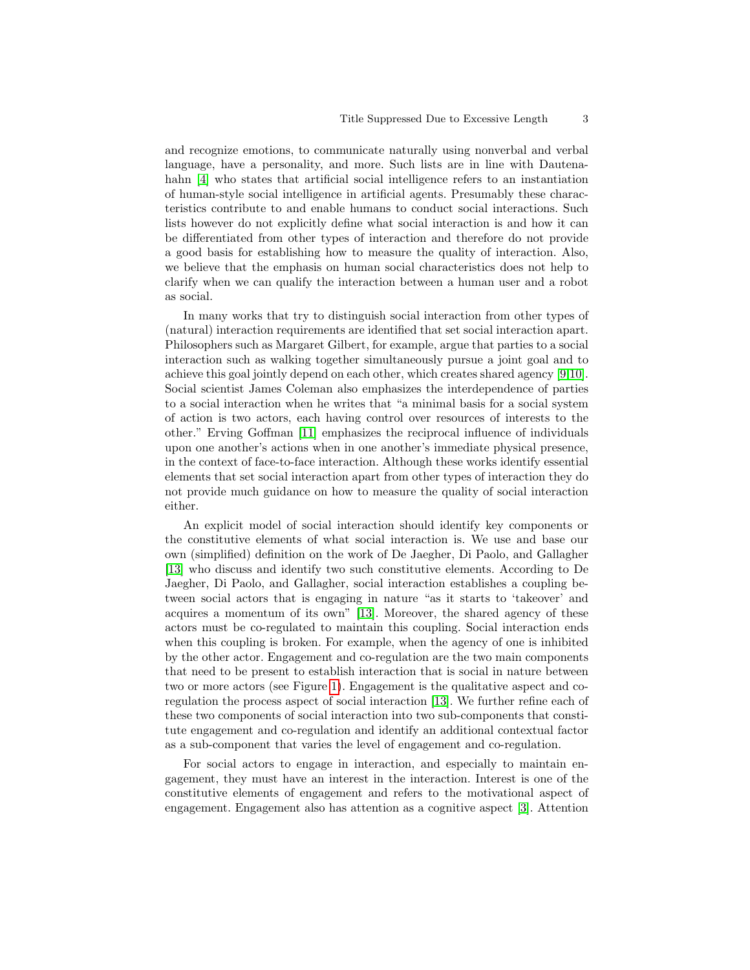and recognize emotions, to communicate naturally using nonverbal and verbal language, have a personality, and more. Such lists are in line with Dautenahahn  $[4]$  who states that artificial social intelligence refers to an instantiation of human-style social intelligence in artificial agents. Presumably these characteristics contribute to and enable humans to conduct social interactions. Such lists however do not explicitly define what social interaction is and how it can be differentiated from other types of interaction and therefore do not provide a good basis for establishing how to measure the quality of interaction. Also, we believe that the emphasis on human social characteristics does not help to clarify when we can qualify the interaction between a human user and a robot as social.

In many works that try to distinguish social interaction from other types of (natural) interaction requirements are identified that set social interaction apart. Philosophers such as Margaret Gilbert, for example, argue that parties to a social interaction such as walking together simultaneously pursue a joint goal and to achieve this goal jointly depend on each other, which creates shared agency [\[9,](#page-7-9)[10\]](#page-7-10). Social scientist James Coleman also emphasizes the interdependence of parties to a social interaction when he writes that "a minimal basis for a social system of action is two actors, each having control over resources of interests to the other." Erving Goffman [\[11\]](#page-7-11) emphasizes the reciprocal influence of individuals upon one another's actions when in one another's immediate physical presence, in the context of face-to-face interaction. Although these works identify essential elements that set social interaction apart from other types of interaction they do not provide much guidance on how to measure the quality of social interaction either.

An explicit model of social interaction should identify key components or the constitutive elements of what social interaction is. We use and base our own (simplified) definition on the work of De Jaegher, Di Paolo, and Gallagher [\[13\]](#page-7-12) who discuss and identify two such constitutive elements. According to De Jaegher, Di Paolo, and Gallagher, social interaction establishes a coupling between social actors that is engaging in nature "as it starts to 'takeover' and acquires a momentum of its own" [\[13\]](#page-7-12). Moreover, the shared agency of these actors must be co-regulated to maintain this coupling. Social interaction ends when this coupling is broken. For example, when the agency of one is inhibited by the other actor. Engagement and co-regulation are the two main components that need to be present to establish interaction that is social in nature between two or more actors (see Figure [1\)](#page-3-0). Engagement is the qualitative aspect and coregulation the process aspect of social interaction [\[13\]](#page-7-12). We further refine each of these two components of social interaction into two sub-components that constitute engagement and co-regulation and identify an additional contextual factor as a sub-component that varies the level of engagement and co-regulation.

For social actors to engage in interaction, and especially to maintain engagement, they must have an interest in the interaction. Interest is one of the constitutive elements of engagement and refers to the motivational aspect of engagement. Engagement also has attention as a cognitive aspect [\[3\]](#page-7-13). Attention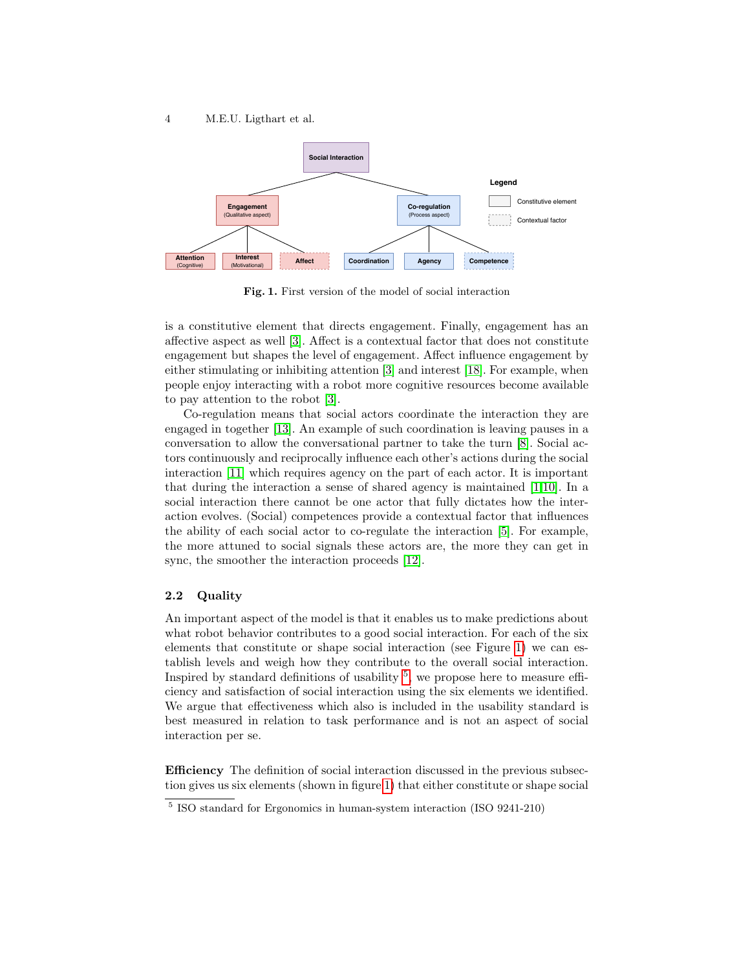

<span id="page-3-0"></span>Fig. 1. First version of the model of social interaction

is a constitutive element that directs engagement. Finally, engagement has an affective aspect as well [\[3\]](#page-7-13). Affect is a contextual factor that does not constitute engagement but shapes the level of engagement. Affect influence engagement by either stimulating or inhibiting attention [\[3\]](#page-7-13) and interest [\[18\]](#page-7-14). For example, when people enjoy interacting with a robot more cognitive resources become available to pay attention to the robot [\[3\]](#page-7-13).

Co-regulation means that social actors coordinate the interaction they are engaged in together [\[13\]](#page-7-12). An example of such coordination is leaving pauses in a conversation to allow the conversational partner to take the turn [\[8\]](#page-7-15). Social actors continuously and reciprocally influence each other's actions during the social interaction [\[11\]](#page-7-11) which requires agency on the part of each actor. It is important that during the interaction a sense of shared agency is maintained [\[1](#page-7-7)[,10\]](#page-7-10). In a social interaction there cannot be one actor that fully dictates how the interaction evolves. (Social) competences provide a contextual factor that influences the ability of each social actor to co-regulate the interaction [\[5\]](#page-7-16). For example, the more attuned to social signals these actors are, the more they can get in sync, the smoother the interaction proceeds [\[12\]](#page-7-17).

# 2.2 Quality

An important aspect of the model is that it enables us to make predictions about what robot behavior contributes to a good social interaction. For each of the six elements that constitute or shape social interaction (see Figure [1\)](#page-3-0) we can establish levels and weigh how they contribute to the overall social interaction. Inspired by standard definitions of usability  $5$ , we propose here to measure efficiency and satisfaction of social interaction using the six elements we identified. We argue that effectiveness which also is included in the usability standard is best measured in relation to task performance and is not an aspect of social interaction per se.

Efficiency The definition of social interaction discussed in the previous subsection gives us six elements (shown in figure [1\)](#page-3-0) that either constitute or shape social

<span id="page-3-1"></span><sup>5</sup> ISO standard for Ergonomics in human-system interaction (ISO 9241-210)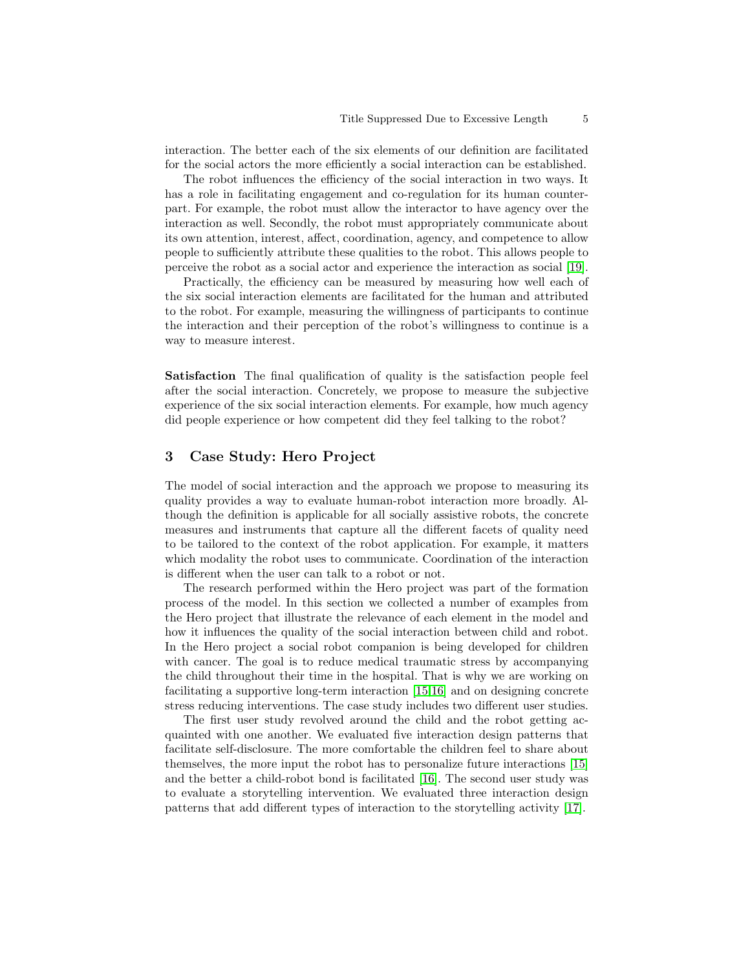interaction. The better each of the six elements of our definition are facilitated for the social actors the more efficiently a social interaction can be established.

The robot influences the efficiency of the social interaction in two ways. It has a role in facilitating engagement and co-regulation for its human counterpart. For example, the robot must allow the interactor to have agency over the interaction as well. Secondly, the robot must appropriately communicate about its own attention, interest, affect, coordination, agency, and competence to allow people to sufficiently attribute these qualities to the robot. This allows people to perceive the robot as a social actor and experience the interaction as social [\[19\]](#page-7-18).

Practically, the efficiency can be measured by measuring how well each of the six social interaction elements are facilitated for the human and attributed to the robot. For example, measuring the willingness of participants to continue the interaction and their perception of the robot's willingness to continue is a way to measure interest.

Satisfaction The final qualification of quality is the satisfaction people feel after the social interaction. Concretely, we propose to measure the subjective experience of the six social interaction elements. For example, how much agency did people experience or how competent did they feel talking to the robot?

# <span id="page-4-0"></span>3 Case Study: Hero Project

The model of social interaction and the approach we propose to measuring its quality provides a way to evaluate human-robot interaction more broadly. Although the definition is applicable for all socially assistive robots, the concrete measures and instruments that capture all the different facets of quality need to be tailored to the context of the robot application. For example, it matters which modality the robot uses to communicate. Coordination of the interaction is different when the user can talk to a robot or not.

The research performed within the Hero project was part of the formation process of the model. In this section we collected a number of examples from the Hero project that illustrate the relevance of each element in the model and how it influences the quality of the social interaction between child and robot. In the Hero project a social robot companion is being developed for children with cancer. The goal is to reduce medical traumatic stress by accompanying the child throughout their time in the hospital. That is why we are working on facilitating a supportive long-term interaction [\[15,](#page-7-1)[16\]](#page-7-2) and on designing concrete stress reducing interventions. The case study includes two different user studies.

The first user study revolved around the child and the robot getting acquainted with one another. We evaluated five interaction design patterns that facilitate self-disclosure. The more comfortable the children feel to share about themselves, the more input the robot has to personalize future interactions [\[15\]](#page-7-1) and the better a child-robot bond is facilitated [\[16\]](#page-7-2). The second user study was to evaluate a storytelling intervention. We evaluated three interaction design patterns that add different types of interaction to the storytelling activity [\[17\]](#page-7-3).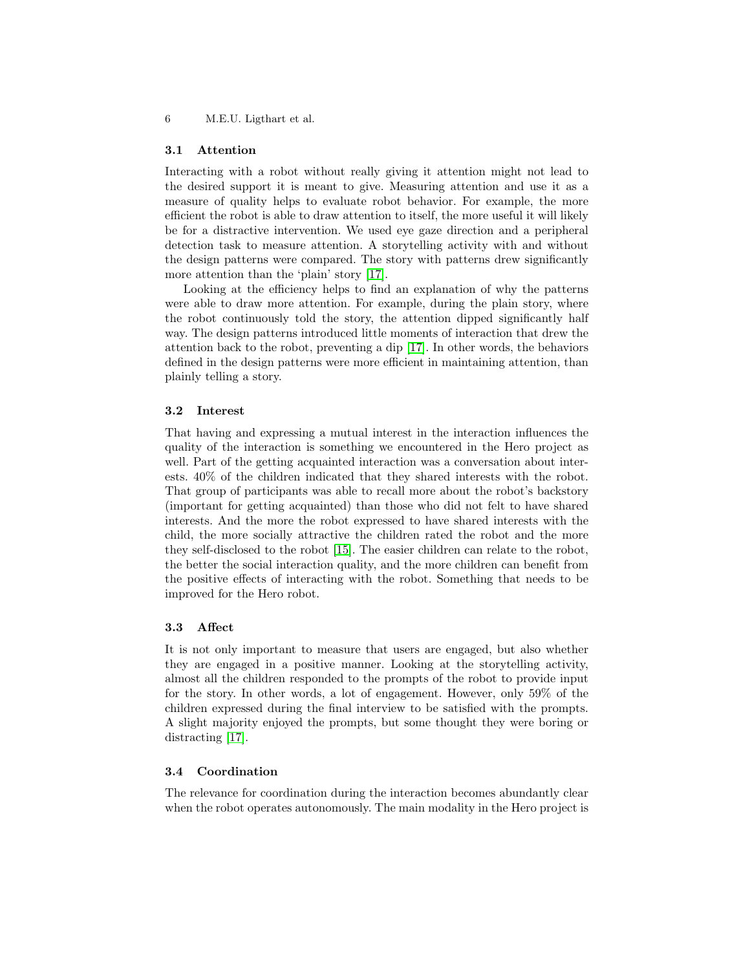#### 3.1 Attention

Interacting with a robot without really giving it attention might not lead to the desired support it is meant to give. Measuring attention and use it as a measure of quality helps to evaluate robot behavior. For example, the more efficient the robot is able to draw attention to itself, the more useful it will likely be for a distractive intervention. We used eye gaze direction and a peripheral detection task to measure attention. A storytelling activity with and without the design patterns were compared. The story with patterns drew significantly more attention than the 'plain' story [\[17\]](#page-7-3).

Looking at the efficiency helps to find an explanation of why the patterns were able to draw more attention. For example, during the plain story, where the robot continuously told the story, the attention dipped significantly half way. The design patterns introduced little moments of interaction that drew the attention back to the robot, preventing a dip [\[17\]](#page-7-3). In other words, the behaviors defined in the design patterns were more efficient in maintaining attention, than plainly telling a story.

# 3.2 Interest

That having and expressing a mutual interest in the interaction influences the quality of the interaction is something we encountered in the Hero project as well. Part of the getting acquainted interaction was a conversation about interests. 40% of the children indicated that they shared interests with the robot. That group of participants was able to recall more about the robot's backstory (important for getting acquainted) than those who did not felt to have shared interests. And the more the robot expressed to have shared interests with the child, the more socially attractive the children rated the robot and the more they self-disclosed to the robot [\[15\]](#page-7-1). The easier children can relate to the robot, the better the social interaction quality, and the more children can benefit from the positive effects of interacting with the robot. Something that needs to be improved for the Hero robot.

# 3.3 Affect

It is not only important to measure that users are engaged, but also whether they are engaged in a positive manner. Looking at the storytelling activity, almost all the children responded to the prompts of the robot to provide input for the story. In other words, a lot of engagement. However, only 59% of the children expressed during the final interview to be satisfied with the prompts. A slight majority enjoyed the prompts, but some thought they were boring or distracting [\[17\]](#page-7-3).

# 3.4 Coordination

The relevance for coordination during the interaction becomes abundantly clear when the robot operates autonomously. The main modality in the Hero project is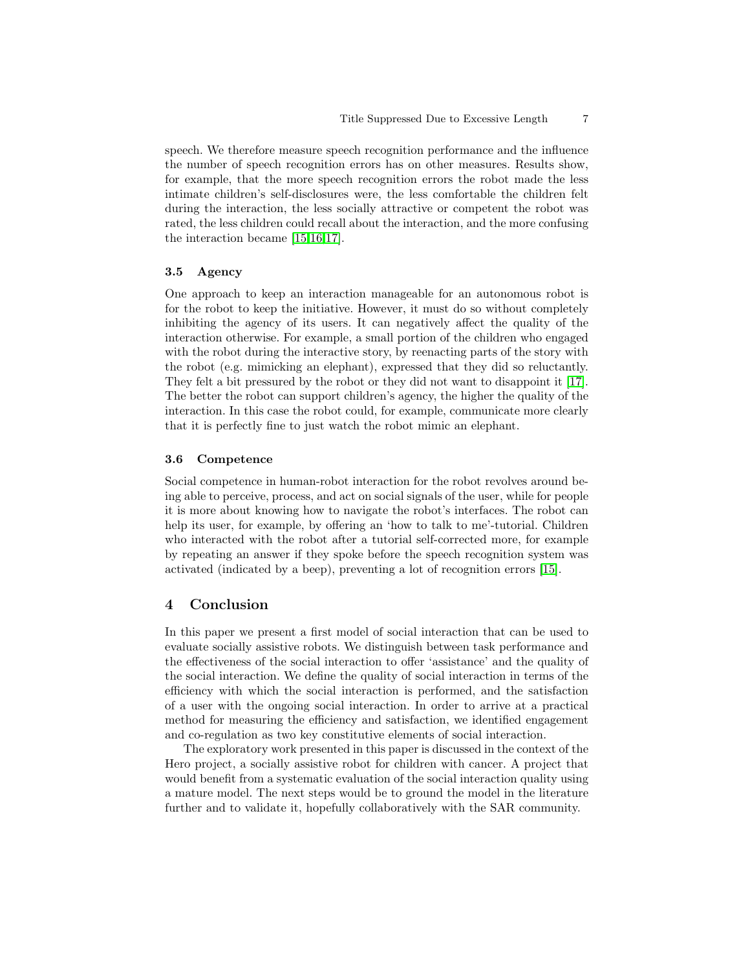speech. We therefore measure speech recognition performance and the influence the number of speech recognition errors has on other measures. Results show, for example, that the more speech recognition errors the robot made the less intimate children's self-disclosures were, the less comfortable the children felt during the interaction, the less socially attractive or competent the robot was rated, the less children could recall about the interaction, and the more confusing the interaction became [\[15](#page-7-1)[,16,](#page-7-2)[17\]](#page-7-3).

#### 3.5 Agency

One approach to keep an interaction manageable for an autonomous robot is for the robot to keep the initiative. However, it must do so without completely inhibiting the agency of its users. It can negatively affect the quality of the interaction otherwise. For example, a small portion of the children who engaged with the robot during the interactive story, by reenacting parts of the story with the robot (e.g. mimicking an elephant), expressed that they did so reluctantly. They felt a bit pressured by the robot or they did not want to disappoint it [\[17\]](#page-7-3). The better the robot can support children's agency, the higher the quality of the interaction. In this case the robot could, for example, communicate more clearly that it is perfectly fine to just watch the robot mimic an elephant.

# 3.6 Competence

Social competence in human-robot interaction for the robot revolves around being able to perceive, process, and act on social signals of the user, while for people it is more about knowing how to navigate the robot's interfaces. The robot can help its user, for example, by offering an 'how to talk to me'-tutorial. Children who interacted with the robot after a tutorial self-corrected more, for example by repeating an answer if they spoke before the speech recognition system was activated (indicated by a beep), preventing a lot of recognition errors [\[15\]](#page-7-1).

# 4 Conclusion

In this paper we present a first model of social interaction that can be used to evaluate socially assistive robots. We distinguish between task performance and the effectiveness of the social interaction to offer 'assistance' and the quality of the social interaction. We define the quality of social interaction in terms of the efficiency with which the social interaction is performed, and the satisfaction of a user with the ongoing social interaction. In order to arrive at a practical method for measuring the efficiency and satisfaction, we identified engagement and co-regulation as two key constitutive elements of social interaction.

The exploratory work presented in this paper is discussed in the context of the Hero project, a socially assistive robot for children with cancer. A project that would benefit from a systematic evaluation of the social interaction quality using a mature model. The next steps would be to ground the model in the literature further and to validate it, hopefully collaboratively with the SAR community.